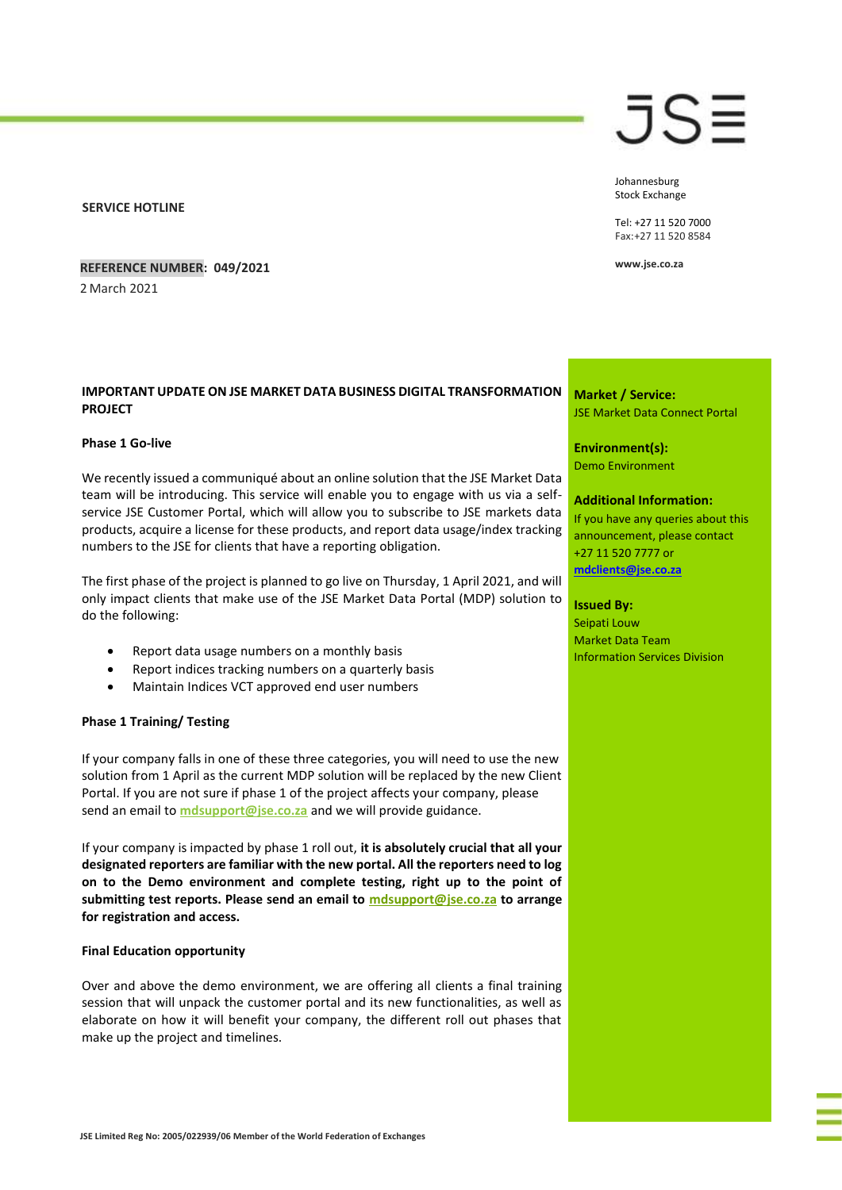**SERVICE HOTLINE**

**REFERENCE NUMBER: 049/2021**

2 March 2021

## **IMPORTANT UPDATE ON JSE MARKET DATA BUSINESS DIGITAL TRANSFORMATION PROJECT**

## **Phase 1 Go-live**

We recently issued a communiqué about an online solution that the JSE Market Data team will be introducing. This service will enable you to engage with us via a selfservice JSE Customer Portal, which will allow you to subscribe to JSE markets data products, acquire a license for these products, and report data usage/index tracking numbers to the JSE for clients that have a reporting obligation.

The first phase of the project is planned to go live on Thursday, 1 April 2021, and will only impact clients that make use of the JSE Market Data Portal (MDP) solution to do the following:

- Report data usage numbers on a monthly basis
- Report indices tracking numbers on a quarterly basis
- Maintain Indices VCT approved end user numbers

## **Phase 1 Training/ Testing**

If your company falls in one of these three categories, you will need to use the new solution from 1 April as the current MDP solution will be replaced by the new Client Portal. If you are not sure if phase 1 of the project affects your company, please send an email to **[mdsupport@jse.co.za](mailto:mdsupport@jse.co.za?subject=IMPORTANT%20UPDATE%3A%20JSE%20MARKET%20DATA%20BUSINESS%20DIGITAL%20TRANSFORMATION%20PROJECT)** and we will provide guidance.

If your company is impacted by phase 1 roll out, **it is absolutely crucial that all your designated reporters are familiar with the new portal. All the reporters need to log on to the Demo environment and complete testing, right up to the point of submitting test reports. Please send an email to [mdsupport@jse.co.za](mailto:mdsupport@jse.co.za?subject=IMPORTANT%20UPDATE%3A%20JSE%20MARKET%20DATA%20BUSINESS%20DIGITAL%20TRANSFORMATION%20PROJECT) to arrange for registration and access.**

## **Final Education opportunity**

Over and above the demo environment, we are offering all clients a final training session that will unpack the customer portal and its new functionalities, as well as elaborate on how it will benefit your company, the different roll out phases that make up the project and timelines.

# JS≣

Johannesburg Stock Exchange

Tel: +27 11 520 7000 Fax:+27 11 520 8584

**www.jse.co.za**

**Market / Service:** JSE Market Data Connect Portal

**Environment(s):** Demo Environment

## **Additional Information:**

If you have any queries about this announcement, please contact +27 11 520 7777 or **[mdclients@jse.co.za](mailto:mdclients@jse.co.za)**

## **Issued By:**

Seipati Louw Market Data Team Information Services Division